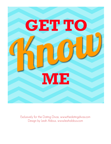

Exclusively for the Dating Divas, www.thedatingdivas.com Design by Leah Aldous, www.leahaldous.com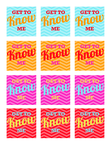





















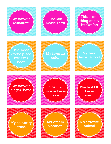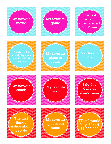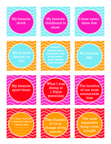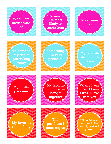![](_page_5_Picture_0.jpeg)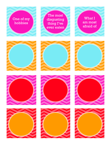![](_page_6_Picture_0.jpeg)

![](_page_6_Picture_1.jpeg)

![](_page_6_Picture_2.jpeg)

![](_page_6_Picture_3.jpeg)

![](_page_6_Picture_4.jpeg)

![](_page_6_Picture_5.jpeg)

![](_page_6_Picture_6.jpeg)

![](_page_6_Picture_7.jpeg)

![](_page_6_Picture_8.jpeg)

![](_page_6_Picture_9.jpeg)

![](_page_6_Picture_10.jpeg)

![](_page_6_Picture_11.jpeg)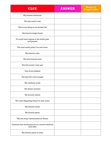| <b>CLUE</b>                                                     | <b>ANSWER</b> | Picture #<br>(if applicable) |
|-----------------------------------------------------------------|---------------|------------------------------|
| My favorite restaurant                                          |               |                              |
| The last movie I saw                                            |               |                              |
| This is one thing on my bucket list                             |               |                              |
| My favorite singer/band                                         |               |                              |
| If I could meet anyone in the world, past<br>and present        |               |                              |
| The most exotic place I've ever been                            |               |                              |
| My favorite color                                               |               |                              |
| My least favorite food                                          |               |                              |
| The first movie I ever saw                                      |               |                              |
| One of my hobbies                                               |               |                              |
| The first CD I ever bought                                      |               |                              |
| My celebrity crush                                              |               |                              |
| My dream vacation                                               |               |                              |
| My favorite animal                                              |               |                              |
| The most disgusting thing I've ever eaten                       |               |                              |
| My favorite movie                                               |               |                              |
| My favorite game                                                |               |                              |
| The last song I downloaded on iTunes                            |               |                              |
| Celebrity that would play me in a movie/celebrity<br>look alike |               |                              |
| My favorite place to relax                                      |               |                              |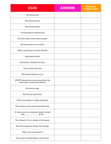| <b>CLUE</b>                                                                   | <b>ANSWER</b> | Picture #<br>(if applicable) |
|-------------------------------------------------------------------------------|---------------|------------------------------|
| My dream job                                                                  |               |                              |
| My favorite snack                                                             |               |                              |
| My favorite book                                                              |               |                              |
| I do this daily or almost daily                                               |               |                              |
| The first thing I notice about people                                         |               |                              |
| My favorite spot in our home                                                  |               |                              |
| What I would buy if I had \$1,000,000                                         |               |                              |
| My favorite drink                                                             |               |                              |
| My favorite childhood tv show                                                 |               |                              |
| I have never done this                                                        |               |                              |
| My favorite feature on you                                                    |               |                              |
| If HGTV showed up at our house, this is the<br>room/area I would want redone! |               |                              |
| My favorite app                                                               |               |                              |
| My favorite sport/team                                                        |               |                              |
| What I was doing at 1:30pm yesterday                                          |               |                              |
| The location of our most memorable kiss                                       |               |                              |
| If I were stuck on a deserted island, I would                                 |               |                              |
| The channel if I'm in charge of the remote                                    |               |                              |
| The most expensive thing I ever bought                                        |               |                              |
| What I am most afraid of                                                      |               |                              |
| The movie I'm most likely to quote from                                       |               |                              |